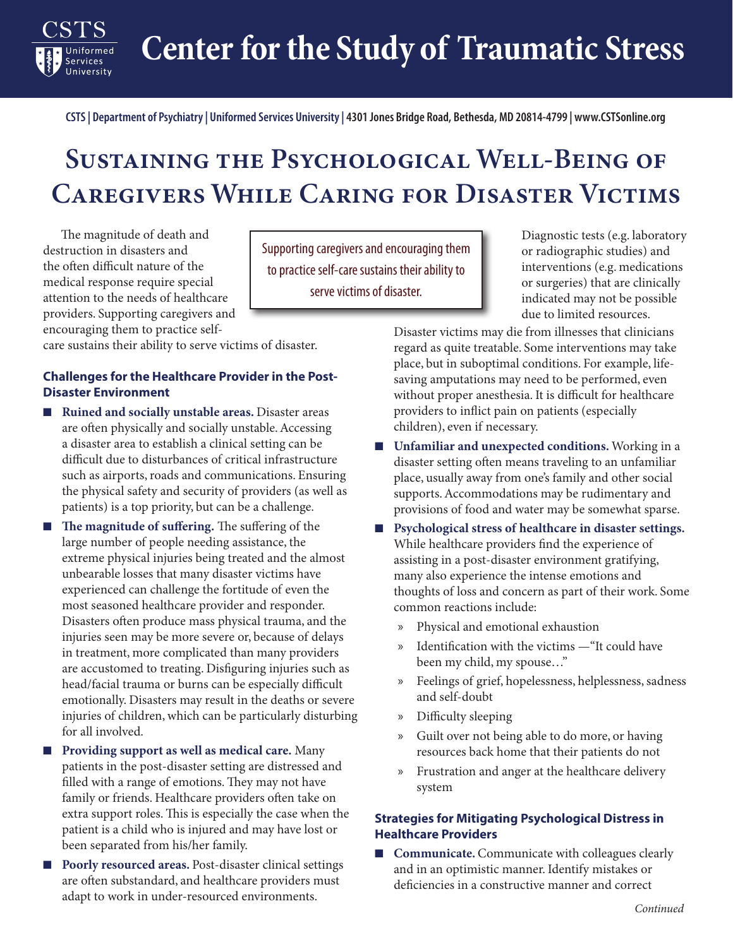**Center for the Study of Traumatic Stress**

**CSTS | Department of Psychiatry | Uniformed Services University | 4301 Jones Bridge Road, Bethesda, MD 20814-4799 | www.CSTSonline.org**

## **Sustaining the Psychological Well-Being of Caregivers While Caring for Disaster Victims**

The magnitude of death and destruction in disasters and the often difficult nature of the medical response require special attention to the needs of healthcare providers. Supporting caregivers and encouraging them to practice self-

Uniformed Services University

care sustains their ability to serve victims of disaster.

## **Challenges for the Healthcare Provider in the Post-Disaster Environment**

- **Ruined and socially unstable areas.** Disaster areas are often physically and socially unstable. Accessing a disaster area to establish a clinical setting can be difficult due to disturbances of critical infrastructure such as airports, roads and communications. Ensuring the physical safety and security of providers (as well as patients) is a top priority, but can be a challenge.
- **The magnitude of suffering.** The suffering of the large number of people needing assistance, the extreme physical injuries being treated and the almost unbearable losses that many disaster victims have experienced can challenge the fortitude of even the most seasoned healthcare provider and responder. Disasters often produce mass physical trauma, and the injuries seen may be more severe or, because of delays in treatment, more complicated than many providers are accustomed to treating. Disfiguring injuries such as head/facial trauma or burns can be especially difficult emotionally. Disasters may result in the deaths or severe injuries of children, which can be particularly disturbing for all involved.
- **Providing support as well as medical care.** Many patients in the post-disaster setting are distressed and filled with a range of emotions. They may not have family or friends. Healthcare providers often take on extra support roles. This is especially the case when the patient is a child who is injured and may have lost or been separated from his/her family.
- **Poorly resourced areas.** Post-disaster clinical settings are often substandard, and healthcare providers must adapt to work in under-resourced environments.

Supporting caregivers and encouraging them to practice self-care sustains their ability to serve victims of disaster.

Diagnostic tests (e.g. laboratory or radiographic studies) and interventions (e.g. medications or surgeries) that are clinically indicated may not be possible due to limited resources.

Disaster victims may die from illnesses that clinicians regard as quite treatable. Some interventions may take place, but in suboptimal conditions. For example, lifesaving amputations may need to be performed, even without proper anesthesia. It is difficult for healthcare providers to inflict pain on patients (especially children), even if necessary.

- **Unfamiliar and unexpected conditions.** Working in a disaster setting often means traveling to an unfamiliar place, usually away from one's family and other social supports. Accommodations may be rudimentary and provisions of food and water may be somewhat sparse.
- **Psychological stress of healthcare in disaster settings.** While healthcare providers find the experience of assisting in a post-disaster environment gratifying, many also experience the intense emotions and thoughts of loss and concern as part of their work. Some common reactions include:
	- x Physical and emotional exhaustion
	- x Identification with the victims —"It could have been my child, my spouse…"
	- x Feelings of grief, hopelessness, helplessness, sadness and self-doubt
	- x Difficulty sleeping
	- x Guilt over not being able to do more, or having resources back home that their patients do not
	- x Frustration and anger at the healthcare delivery system

## **Strategies for Mitigating Psychological Distress in Healthcare Providers**

■ **Communicate.** Communicate with colleagues clearly and in an optimistic manner. Identify mistakes or deficiencies in a constructive manner and correct